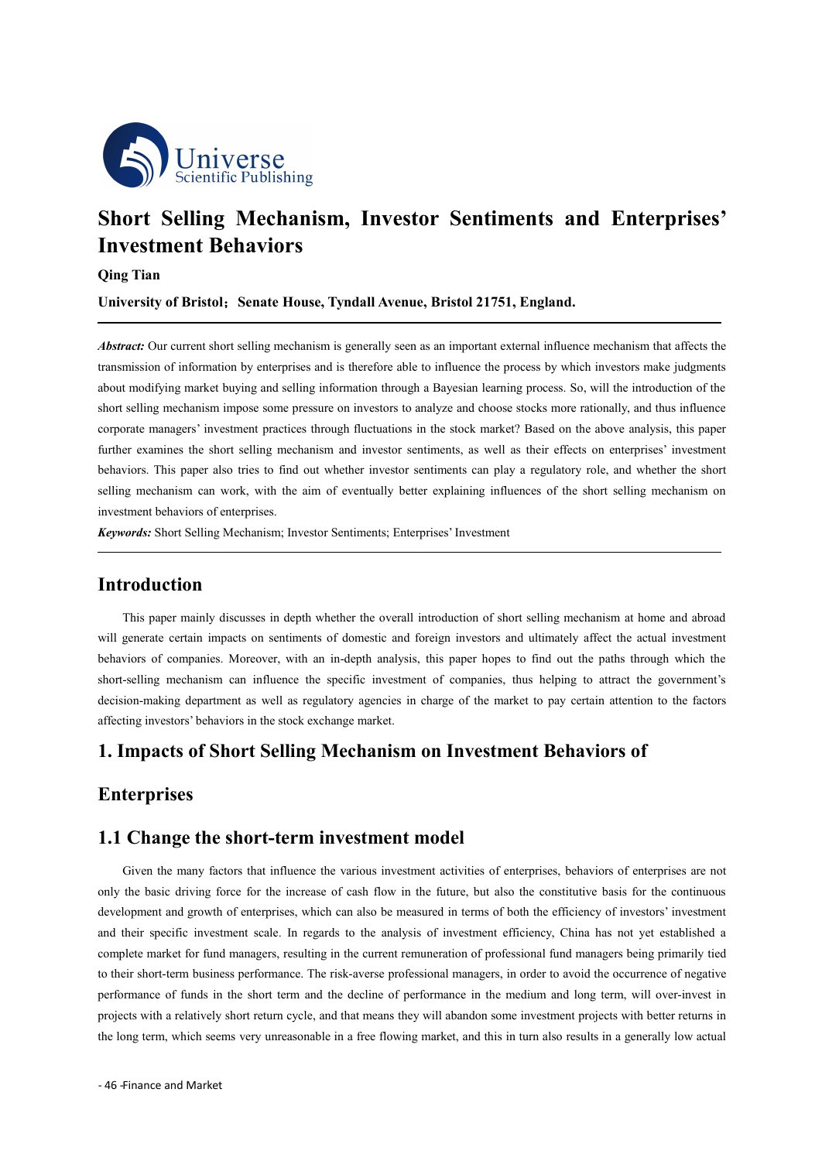

# **Short Selling Mechanism, Investor Sentiments and Enterprises' Investment Behaviors**

#### **Qing Tian**

**University of Bristol**;**Senate House, Tyndall Avenue, Bristol 21751, England.**

*Abstract:* Our current short selling mechanism is generally seen as an important external influence mechanism that affects the transmission of information by enterprises and is therefore able to influence the process by which investors make judgments about modifying market buying and selling information through a Bayesian learning process. So, will the introduction of the short selling mechanism impose some pressure on investors to analyze and choose stocks more rationally, and thus influence corporate managers' investment practices through fluctuations in the stock market? Based on the above analysis, this paper further examines the short selling mechanism and investor sentiments, as wellas their effects on enterprises' investment behaviors. This paper also tries to find out whether investor sentiments can play a regulatory role, and whether the short selling mechanism can work, with the aim of eventually better explaining influences of the short selling mechanism on investment behaviors of enterprises.

*Keywords:* Short Selling Mechanism; Investor Sentiments; Enterprises' Investment

## **Introduction**

This paper mainly discusses in depth whether the overall introduction of short selling mechanism at home and abroad will generate certain impacts on sentiments of domestic and foreign investors and ultimately affect the actual investment behaviors of companies. Moreover, with an in-depth analysis, this paper hopes to find out the paths through which the short-selling mechanism can influence the specific investment of companies, thus helping to attract the government's decision-making department as well as regulatory agencies in charge of the market to pay certain attention to the factors affecting investors' behaviors in the stock exchange market.

#### **1. Impacts ofShort Selling Mechanism on Investment Behaviors of**

## **Enterprises**

#### **1.1 Change the short-term investment model**

Given the many factors that influence the various investment activities of enterprises, behaviors of enterprises are not only the basic driving force for the increase of cash flow in the future, but also the constitutive basis for the continuous development and growth of enterprises, which can also be measured in terms of both the efficiency of investors' investment and their specific investment scale. In regards to the analysis of investment efficiency, China has not yet established a complete market for fund managers, resulting in the current remuneration of professional fund managers being primarily tied to their short-term business performance. The risk-averse professional managers, in order to avoid the occurrence of negative performance of funds in the short term and the decline of performance in the medium and long term, will over-invest in projects with a relatively short return cycle, and that means they will abandon some investment projects with better returns in the long term, which seems very unreasonable in a free flowing market, and this in turn also results in a generally low actual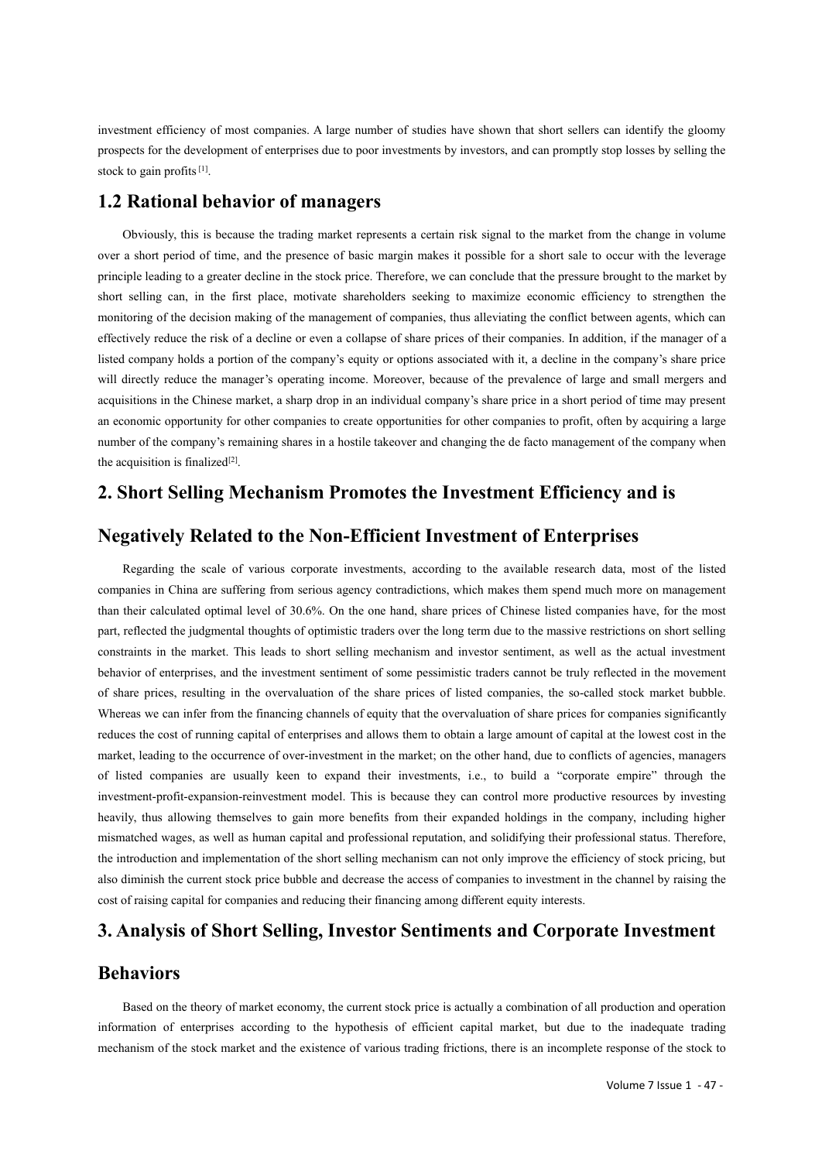investment efficiency of most companies. A large number of studies have shown that short sellers can identify the gloomy prospects for the development of enterprises due to poor investments by investors, and can promptly stop losses by selling the stock to gain profits<sup>[1]</sup>.

#### **1.2 Rational behavior of managers**

Obviously, this is because the trading market represents a certain risk signal to the market from the change in volume over a short period of time, and the presence of basic margin makes it possible for a short sale to occur with the leverage principle leading to a greater decline in the stock price. Therefore, we can conclude that the pressure brought to the market by short selling can, in the first place, motivate shareholders seeking to maximize economic efficiency to strengthen the monitoring of the decision making of the management of companies, thus alleviating the conflict between agents, which can effectively reduce the risk of a decline or even a collapse of share prices of their companies. In addition, if the manager of a listed company holds a portion of the company's equity or options associated with it, a decline in the company's share price will directly reduce the manager's operating income. Moreover, because of the prevalence of large and small mergers and acquisitions in the Chinese market, a sharp drop in an individual company's share price in a short period of time may present an economic opportunity for other companies to create opportunities for other companies to profit, often by acquiring a large number of the company's remaining shares in a hostile takeover and changing the de facto management of the company when the acquisition is finalized $[2]$ .

## **2. Short Selling Mechanism Promotes the Investment Efficiency and is**

#### **Negatively Related to the Non-Efficient Investment of Enterprises**

Regarding the scale of various corporate investments, according to the available research data, most of the listed companies in China are suffering from serious agency contradictions, which makes them spend muchmore on management than their calculated optimal level of 30.6%. On the one hand, share prices of Chinese listed companies have, for the most part, reflected the judgmental thoughts of optimistic traders over the long term due to the massive restrictions on short selling constraints in the market. This leads to short selling mechanism and investor sentiment, as well as the actual investment behavior of enterprises, and the investment sentiment of some pessimistic traders cannot be truly reflected in the movement of share prices, resulting in the overvaluation of the share prices of listed companies, the so-called stock market bubble. Whereas we can infer from the financing channels of equity that the overvaluation of share prices for companies significantly reduces the cost of running capital of enterprises and allows them to obtain a large amount of capital at the lowest cost in the market, leading to the occurrence of over-investment in the market; on the other hand, due to conflicts of agencies, managers of listed companies are usually keen to expand their investments, i.e., to build a "corporate empire" through the investment-profit-expansion-reinvestment model. This is because they can control more productive resources by investing heavily, thus allowing themselves to gain more benefits from their expanded holdings in the company, including higher mismatched wages, as well as human capital and professional reputation, and solidifying their professional status. Therefore, the introduction and implementation of the short selling mechanism can not only improve the efficiency of stock pricing, but also diminish the current stock price bubble and decrease the access of companies to investment in the channel by raising the cost of raising capital for companies and reducing their financing among different equity interests.

## **3. Analysis ofShort Selling, Investor Sentiments and Corporate Investment**

## **Behaviors**

Based on the theory of market economy, the current stock price is actually a combination of all production and operation information of enterprises according to the hypothesis of efficient capital market, but due to the inadequate trading mechanism of the stock market and the existence of various trading frictions, there is an incomplete response of the stock to